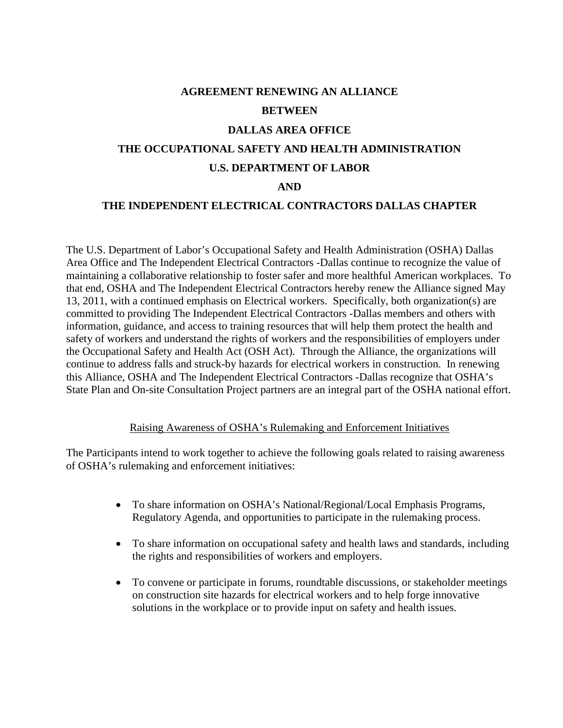# **AGREEMENT RENEWING AN ALLIANCE**

## **BETWEEN**

### **DALLAS AREA OFFICE**

# **THE OCCUPATIONAL SAFETY AND HEALTH ADMINISTRATION U.S. DEPARTMENT OF LABOR**

#### **AND**

## **THE INDEPENDENT ELECTRICAL CONTRACTORS DALLAS CHAPTER**

The U.S. Department of Labor's Occupational Safety and Health Administration (OSHA) Dallas Area Office and The Independent Electrical Contractors -Dallas continue to recognize the value of maintaining a collaborative relationship to foster safer and more healthful American workplaces. To that end, OSHA and The Independent Electrical Contractors hereby renew the Alliance signed May 13, 2011, with a continued emphasis on Electrical workers. Specifically, both organization(s) are committed to providing The Independent Electrical Contractors -Dallas members and others with information, guidance, and access to training resources that will help them protect the health and safety of workers and understand the rights of workers and the responsibilities of employers under the Occupational Safety and Health Act (OSH Act). Through the Alliance, the organizations will continue to address falls and struck-by hazards for electrical workers in construction. In renewing this Alliance, OSHA and The Independent Electrical Contractors -Dallas recognize that OSHA's State Plan and On-site Consultation Project partners are an integral part of the OSHA national effort.

## Raising Awareness of OSHA's Rulemaking and Enforcement Initiatives

The Participants intend to work together to achieve the following goals related to raising awareness of OSHA's rulemaking and enforcement initiatives:

- To share information on OSHA's National/Regional/Local Emphasis Programs, Regulatory Agenda, and opportunities to participate in the rulemaking process.
- To share information on occupational safety and health laws and standards, including the rights and responsibilities of workers and employers.
- To convene or participate in forums, roundtable discussions, or stakeholder meetings on construction site hazards for electrical workers and to help forge innovative solutions in the workplace or to provide input on safety and health issues.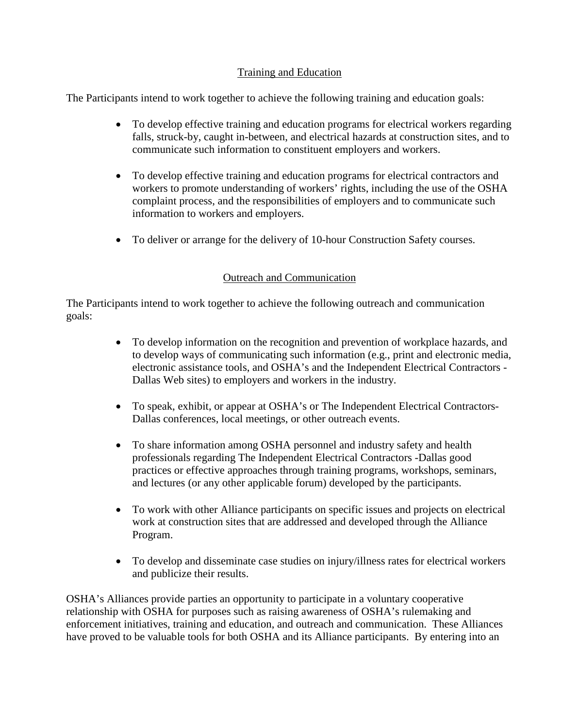## Training and Education

The Participants intend to work together to achieve the following training and education goals:

- To develop effective training and education programs for electrical workers regarding falls, struck-by, caught in-between, and electrical hazards at construction sites, and to communicate such information to constituent employers and workers.
- To develop effective training and education programs for electrical contractors and workers to promote understanding of workers' rights, including the use of the OSHA complaint process, and the responsibilities of employers and to communicate such information to workers and employers.
- To deliver or arrange for the delivery of 10-hour Construction Safety courses.

# Outreach and Communication

The Participants intend to work together to achieve the following outreach and communication goals:

- To develop information on the recognition and prevention of workplace hazards, and to develop ways of communicating such information (e.g., print and electronic media, electronic assistance tools, and OSHA's and the Independent Electrical Contractors - Dallas Web sites) to employers and workers in the industry.
- To speak, exhibit, or appear at OSHA's or The Independent Electrical Contractors-Dallas conferences, local meetings, or other outreach events.
- To share information among OSHA personnel and industry safety and health professionals regarding The Independent Electrical Contractors -Dallas good practices or effective approaches through training programs, workshops, seminars, and lectures (or any other applicable forum) developed by the participants.
- To work with other Alliance participants on specific issues and projects on electrical work at construction sites that are addressed and developed through the Alliance Program.
- To develop and disseminate case studies on injury/illness rates for electrical workers and publicize their results.

OSHA's Alliances provide parties an opportunity to participate in a voluntary cooperative relationship with OSHA for purposes such as raising awareness of OSHA's rulemaking and enforcement initiatives, training and education, and outreach and communication. These Alliances have proved to be valuable tools for both OSHA and its Alliance participants. By entering into an